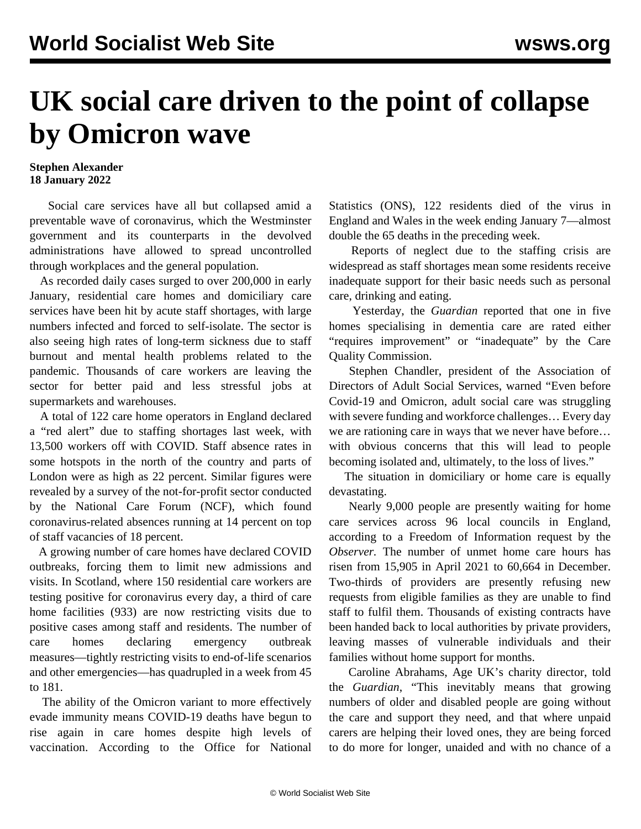## **UK social care driven to the point of collapse by Omicron wave**

## **Stephen Alexander 18 January 2022**

 Social care services have all but collapsed amid a preventable wave of coronavirus, which the Westminster government and its counterparts in the devolved administrations have allowed to spread uncontrolled through workplaces and the general population.

 As recorded daily cases surged to over 200,000 in early January, residential care homes and domiciliary care services have been hit by acute staff shortages, with large numbers infected and forced to self-isolate. The sector is also seeing high rates of long-term sickness due to staff burnout and mental health problems related to the pandemic. Thousands of care workers are leaving the sector for better paid and less stressful jobs at supermarkets and warehouses.

 A total of 122 care home operators in England declared a "red alert" due to staffing shortages last week, with 13,500 workers off with COVID. Staff absence rates in some hotspots in the north of the country and parts of London were as high as 22 percent. Similar figures were revealed by a survey of the not-for-profit sector conducted by the National Care Forum (NCF), which found coronavirus-related absences running at 14 percent on top of staff vacancies of 18 percent.

 A growing number of care homes have declared COVID outbreaks, forcing them to limit new admissions and visits. In Scotland, where 150 residential care workers are testing positive for coronavirus every day, a third of care home facilities (933) are now restricting visits due to positive cases among staff and residents. The number of care homes declaring emergency outbreak measures—tightly restricting visits to end-of-life scenarios and other emergencies—has quadrupled in a week from 45 to 181.

 The ability of the Omicron variant to more effectively evade immunity means COVID-19 deaths have begun to rise again in care homes despite high levels of vaccination. According to the Office for National

Statistics (ONS), 122 residents died of the virus in England and Wales in the week ending January 7—almost double the 65 deaths in the preceding week.

 Reports of neglect due to the staffing crisis are widespread as staff shortages mean some residents receive inadequate support for their basic needs such as personal care, drinking and eating.

 Yesterday, the *Guardian* reported that one in five homes specialising in dementia care are rated either "requires improvement" or "inadequate" by the Care Quality Commission.

 Stephen Chandler, president of the Association of Directors of Adult Social Services, warned "Even before Covid-19 and Omicron, adult social care was struggling with severe funding and workforce challenges… Every day we are rationing care in ways that we never have before… with obvious concerns that this will lead to people becoming isolated and, ultimately, to the loss of lives."

 The situation in domiciliary or home care is equally devastating.

 Nearly 9,000 people are presently waiting for home care services across 96 local councils in England, according to a Freedom of Information request by the *Observer.* The number of unmet home care hours has risen from 15,905 in April 2021 to 60,664 in December. Two-thirds of providers are presently refusing new requests from eligible families as they are unable to find staff to fulfil them. Thousands of existing contracts have been handed back to local authorities by private providers, leaving masses of vulnerable individuals and their families without home support for months.

 Caroline Abrahams, Age UK's charity director, told the *Guardian*, "This inevitably means that growing numbers of older and disabled people are going without the care and support they need, and that where unpaid carers are helping their loved ones, they are being forced to do more for longer, unaided and with no chance of a